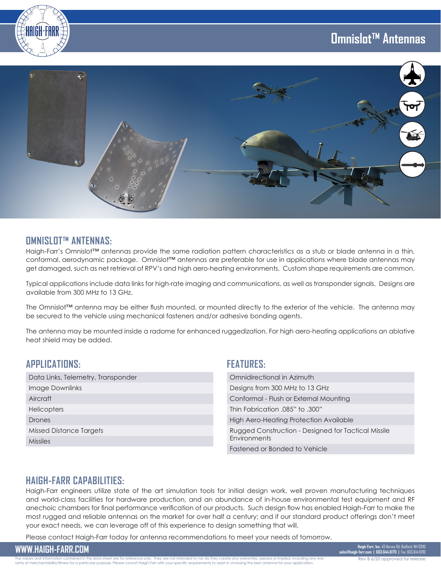# **Omnislot™ Antennas**



#### **OMNISLOT™ ANTENNAS:**

Haigh-Farr's Omnislot™ antennas provide the same radiation pattern characteristics as a stub or blade antenna in a thin, conformal, aerodynamic package. Omnislot™ antennas are preferable for use in applications where blade antennas may get damaged, such as net retrieval of RPV's and high aero-heating environments. Custom shape requirements are common.

Typical applications include data links for high-rate imaging and communications, as well as transponder signals. Designs are available from 300 MHz to 13 GHz.

The Omnislot™ antenna may be either flush mounted, or mounted directly to the exterior of the vehicle. The antenna may be secured to the vehicle using mechanical fasteners and/or adhesive bonding agents.

The antenna may be mounted inside a radome for enhanced ruggedization. For high aero-heating applications an ablative heat shield may be added.

## **APPLICATIONS:**

| Data Links, Telemetry, Transponder |
|------------------------------------|
| Image Downlinks                    |
| Aircraft                           |
| <b>Helicopters</b>                 |
| Drones                             |
| Missed Distance Targets            |
| <b>Missiles</b>                    |

#### **FEATURES:**

| Omnidirectional in Azimuth                                          |
|---------------------------------------------------------------------|
| Designs from 300 MHz to 13 GHz                                      |
| Conformal - Flush or External Mounting                              |
| Thin Fabrication .085" to .300"                                     |
| High Aero-Heating Protection Available                              |
| Rugged Construction - Designed for Tactical Missile<br>Environments |
| Fastened or Bonded to Vehicle                                       |

## **HAIGH-FARR CAPABILITIES:**

Haigh-Farr engineers utilize state of the art simulation tools for initial design work, well proven manufacturing techniques and world-class facilities for hardware production, and an abundance of in-house environmental test equipment and RF anechoic chambers for final performance verification of our products. Such design flow has enabled Haigh-Farr to make the most rugged and reliable antennas on the market for over half a century; and if our standard product offerings don't meet your exact needs, we can leverage off of this experience to design something that will.

Please contact Haigh-Farr today for antenna recommendations to meet your needs of tomorrow.

**WWW.HAIGH-FARR.COM Haigh-Farr, Inc.** 43 Harvey Rd, Bedford, NH 03110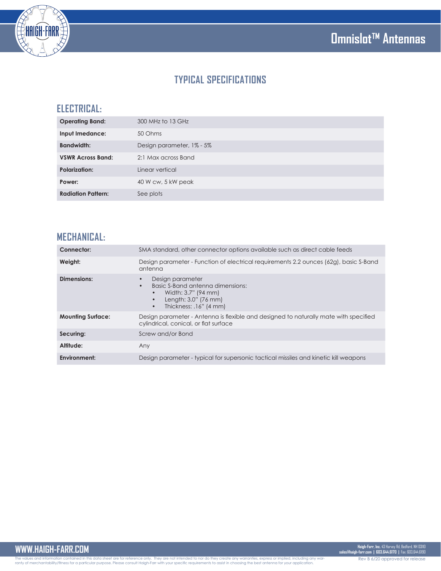



# **TYPICAL SPECIFICATIONS**

## **ELECTRICAL:**

| <b>Operating Band:</b>    | 300 MHz to 13 GHz         |
|---------------------------|---------------------------|
| Input Imedance:           | 50 Ohms                   |
| <b>Bandwidth:</b>         | Design parameter, 1% - 5% |
| <b>VSWR Across Band:</b>  | 2:1 Max across Band       |
| <b>Polarization:</b>      | Linear vertical           |
| Power:                    | 40 W cw, 5 kW peak        |
| <b>Radiation Pattern:</b> | See plots                 |

## **MECHANICAL:**

| Connector:               | SMA standard, other connector options available such as direct cable feeds                                                                                           |
|--------------------------|----------------------------------------------------------------------------------------------------------------------------------------------------------------------|
| Weight:                  | Design parameter - Function of electrical requirements 2.2 ounces (62g), basic S-Band<br>antenna                                                                     |
| Dimensions:              | Design parameter<br>Basic S-Band antenna dimensions:<br>$\bullet$<br>Width: 3.7" (94 mm)<br>$\bullet$<br>Length: 3.0" (76 mm)<br>Thickness: .16" (4 mm)<br>$\bullet$ |
| <b>Mounting Surface:</b> | Design parameter - Antenna is flexible and designed to naturally mate with specified<br>cylindrical, conical, or flat surface                                        |
| Securing:                | Screw and/or Bond                                                                                                                                                    |
| Altitude:                | Any                                                                                                                                                                  |
| Environment:             | Design parameter - typical for supersonic tactical missiles and kinetic kill weapons                                                                                 |

The values and information contained in this data sheet are for reference only. They are not intended to nor do they create any warranties, express or implied, including any war-<br>ranty of merchantability/fitness for a part